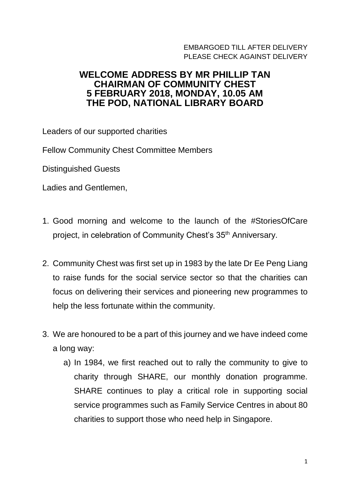## EMBARGOED TILL AFTER DELIVERY PI FASE CHECK AGAINST DELIVERY

## **WELCOME ADDRESS BY MR PHILLIP TAN CHAIRMAN OF COMMUNITY CHEST 5 FEBRUARY 2018, MONDAY, 10.05 AM THE POD, NATIONAL LIBRARY BOARD**

Leaders of our supported charities

Fellow Community Chest Committee Members

Distinguished Guests

Ladies and Gentlemen,

- 1. Good morning and welcome to the launch of the #StoriesOfCare project, in celebration of Community Chest's 35<sup>th</sup> Anniversary.
- 2. Community Chest was first set up in 1983 by the late Dr Ee Peng Liang to raise funds for the social service sector so that the charities can focus on delivering their services and pioneering new programmes to help the less fortunate within the community.
- 3. We are honoured to be a part of this journey and we have indeed come a long way:
	- a) In 1984, we first reached out to rally the community to give to charity through SHARE, our monthly donation programme. SHARE continues to play a critical role in supporting social service programmes such as Family Service Centres in about 80 charities to support those who need help in Singapore.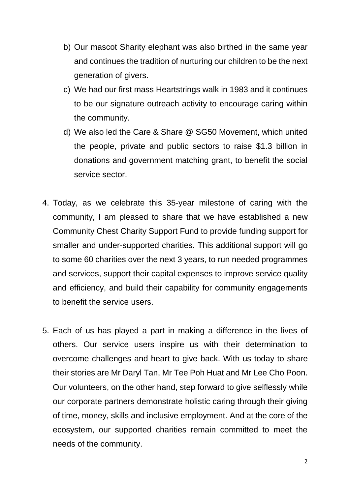- b) Our mascot Sharity elephant was also birthed in the same year and continues the tradition of nurturing our children to be the next generation of givers.
- c) We had our first mass Heartstrings walk in 1983 and it continues to be our signature outreach activity to encourage caring within the community.
- d) We also led the Care & Share @ SG50 Movement, which united the people, private and public sectors to raise \$1.3 billion in donations and government matching grant, to benefit the social service sector.
- 4. Today, as we celebrate this 35-year milestone of caring with the community, I am pleased to share that we have established a new Community Chest Charity Support Fund to provide funding support for smaller and under-supported charities. This additional support will go to some 60 charities over the next 3 years, to run needed programmes and services, support their capital expenses to improve service quality and efficiency, and build their capability for community engagements to benefit the service users.
- 5. Each of us has played a part in making a difference in the lives of others. Our service users inspire us with their determination to overcome challenges and heart to give back. With us today to share their stories are Mr Daryl Tan, Mr Tee Poh Huat and Mr Lee Cho Poon. Our volunteers, on the other hand, step forward to give selflessly while our corporate partners demonstrate holistic caring through their giving of time, money, skills and inclusive employment. And at the core of the ecosystem, our supported charities remain committed to meet the needs of the community.